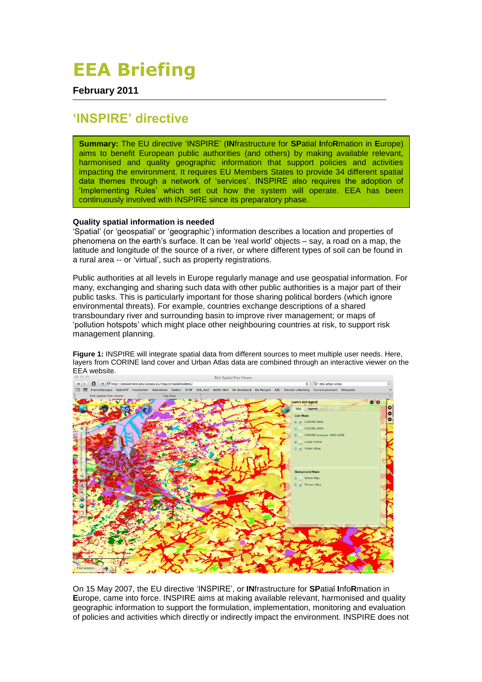## **EEA Briefing**

**February 2011**

## **'INSPIRE' directive**

**Summary:** The EU directive 'INSPIRE' (**IN**frastructure for **SP**atial **I**nfo**R**mation in **E**urope) aims to benefit European public authorities (and others) by making available relevant, harmonised and quality geographic information that support policies and activities impacting the environment. It requires EU Members States to provide 34 different spatial data themes through a network of 'services'. INSPIRE also requires the adoption of 'Implementing Rules' which set out how the system will operate. EEA has been continuously involved with INSPIRE since its preparatory phase.

## **Quality spatial information is needed**

'Spatial' (or 'geospatial' or 'geographic') information describes a location and properties of phenomena on the earth's surface. It can be 'real world' objects – say, a road on a map, the latitude and longitude of the source of a river, or where different types of soil can be found in a rural area -- or 'virtual', such as property registrations.

Public authorities at all levels in Europe regularly manage and use geospatial information. For many, exchanging and sharing such data with other public authorities is a major part of their public tasks. This is particularly important for those sharing political borders (which ignore environmental threats). For example, countries exchange descriptions of a shared transboundary river and surrounding basin to improve river management; or maps of 'pollution hotspots' which might place other neighbouring countries at risk, to support risk management planning.

Rich Spatial Flex Vie  $\overline{C}$  Q<sup>\*</sup> eea urban atlas Danske-eBanking CurrencyConvert Wikipedia  $\overline{m}$ .<br>sique RadioFIP FranceInter RadioKlara Radio1 RTBF EEA\_mail  $\overline{a}$ Lavers and legend 000 TOC legend Live Mone E V CORINE 2000 CORTNE 1990 m. CORINE changes 1990-200 Lucas Points Fill V Urban Atlas **Background Maps** Street Map V Terrain Map

**Figure 1:** INSPIRE will integrate spatial data from different sources to meet multiple user needs. Here, layers from CORINE land cover and Urban Atlas data are combined through an interactive viewer on the EEA website.

On 15 May 2007, the EU directive 'INSPIRE', or **IN**frastructure for **SP**atial **I**nfo**R**mation in **E**urope, came into force. INSPIRE aims at making available relevant, harmonised and quality geographic information to support the formulation, implementation, monitoring and evaluation of policies and activities which directly or indirectly impact the environment. INSPIRE does not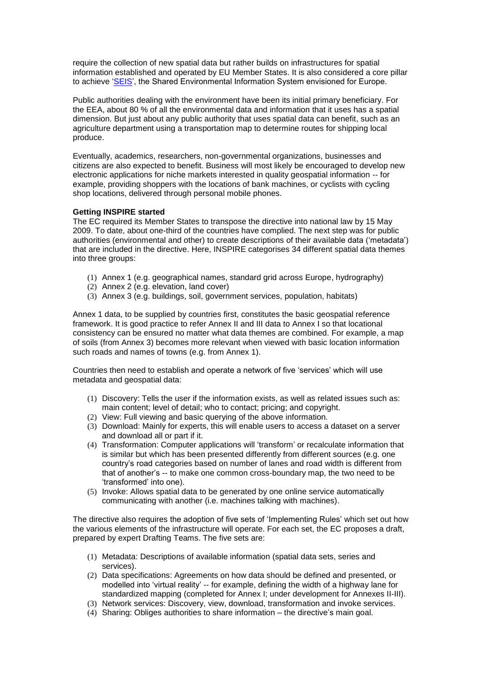require the collection of new spatial data but rather builds on infrastructures for spatial information established and operated by EU Member States. It is also considered a core pillar to achieve ['SEIS',](http://www.eea.europa.eu/about-us/what/shared-environmental-information-system) the Shared Environmental Information System envisioned for Europe.

Public authorities dealing with the environment have been its initial primary beneficiary. For the EEA, about 80 % of all the environmental data and information that it uses has a spatial dimension. But just about any public authority that uses spatial data can benefit, such as an agriculture department using a transportation map to determine routes for shipping local produce.

Eventually, academics, researchers, non-governmental organizations, businesses and citizens are also expected to benefit. Business will most likely be encouraged to develop new electronic applications for niche markets interested in quality geospatial information -- for example, providing shoppers with the locations of bank machines, or cyclists with cycling shop locations, delivered through personal mobile phones.

## **Getting INSPIRE started**

The EC required its Member States to transpose the directive into national law by 15 May 2009. To date, about one-third of the countries have complied. The next step was for public authorities (environmental and other) to create descriptions of their available data ('metadata') that are included in the directive. Here, INSPIRE categorises 34 different spatial data themes into three groups:

- (1) Annex 1 (e.g. geographical names, standard grid across Europe, hydrography)
- (2) Annex 2 (e.g. elevation, land cover)
- (3) Annex 3 (e.g. buildings, soil, government services, population, habitats)

Annex 1 data, to be supplied by countries first, constitutes the basic geospatial reference framework. It is good practice to refer Annex II and III data to Annex I so that locational consistency can be ensured no matter what data themes are combined. For example, a map of soils (from Annex 3) becomes more relevant when viewed with basic location information such roads and names of towns (e.g. from Annex 1).

Countries then need to establish and operate a network of five 'services' which will use metadata and geospatial data:

- (1) Discovery: Tells the user if the information exists, as well as related issues such as: main content; level of detail; who to contact; pricing; and copyright.
- (2) View: Full viewing and basic querying of the above information.
- (3) Download: Mainly for experts, this will enable users to access a dataset on a server and download all or part if it.
- (4) Transformation: Computer applications will 'transform' or recalculate information that is similar but which has been presented differently from different sources (e.g. one country's road categories based on number of lanes and road width is different from that of another's -- to make one common cross-boundary map, the two need to be 'transformed' into one).
- (5) Invoke: Allows spatial data to be generated by one online service automatically communicating with another (i.e. machines talking with machines).

The directive also requires the adoption of five sets of 'Implementing Rules' which set out how the various elements of the infrastructure will operate. For each set, the EC proposes a draft, prepared by expert Drafting Teams. The five sets are:

- (1) Metadata: Descriptions of available information (spatial data sets, series and services).
- (2) Data specifications: Agreements on how data should be defined and presented, or modelled into 'virtual reality' -- for example, defining the width of a highway lane for standardized mapping (completed for Annex I; under development for Annexes II-III).
- (3) Network services: Discovery, view, download, transformation and invoke services.
- (4) Sharing: Obliges authorities to share information the directive's main goal.